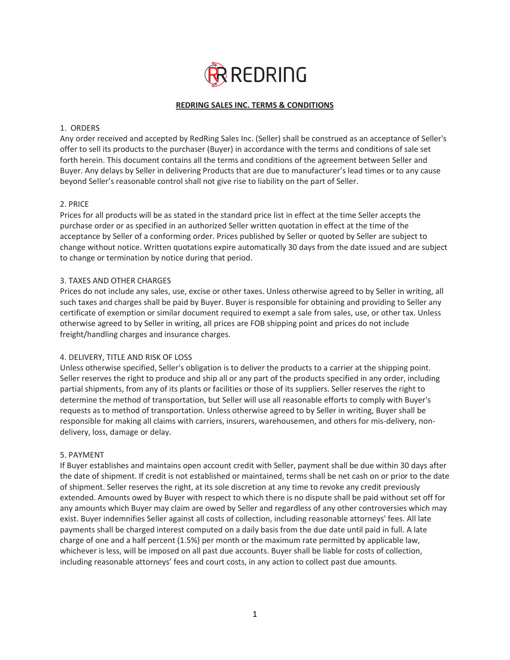

# **REDRING SALES INC. TERMS & CONDITIONS**

### 1. ORDERS

Any order received and accepted by RedRing Sales Inc. (Seller) shall be construed as an acceptance of Seller's offer to sell its products to the purchaser (Buyer) in accordance with the terms and conditions of sale set forth herein. This document contains all the terms and conditions of the agreement between Seller and Buyer. Any delays by Seller in delivering Products that are due to manufacturer's lead times or to any cause beyond Seller's reasonable control shall not give rise to liability on the part of Seller.

# 2. PRICE

Prices for all products will be as stated in the standard price list in effect at the time Seller accepts the purchase order or as specified in an authorized Seller written quotation in effect at the time of the acceptance by Seller of a conforming order. Prices published by Seller or quoted by Seller are subject to change without notice. Written quotations expire automatically 30 days from the date issued and are subject to change or termination by notice during that period.

# 3. TAXES AND OTHER CHARGES

Prices do not include any sales, use, excise or other taxes. Unless otherwise agreed to by Seller in writing, all such taxes and charges shall be paid by Buyer. Buyer is responsible for obtaining and providing to Seller any certificate of exemption or similar document required to exempt a sale from sales, use, or other tax. Unless otherwise agreed to by Seller in writing, all prices are FOB shipping point and prices do not include freight/handling charges and insurance charges.

### 4. DELIVERY, TITLE AND RISK OF LOSS

Unless otherwise specified, Seller's obligation is to deliver the products to a carrier at the shipping point. Seller reserves the right to produce and ship all or any part of the products specified in any order, including partial shipments, from any of its plants or facilities or those of its suppliers. Seller reserves the right to determine the method of transportation, but Seller will use all reasonable efforts to comply with Buyer's requests as to method of transportation. Unless otherwise agreed to by Seller in writing, Buyer shall be responsible for making all claims with carriers, insurers, warehousemen, and others for mis-delivery, nondelivery, loss, damage or delay.

### 5. PAYMENT

If Buyer establishes and maintains open account credit with Seller, payment shall be due within 30 days after the date of shipment. If credit is not established or maintained, terms shall be net cash on or prior to the date of shipment. Seller reserves the right, at its sole discretion at any time to revoke any credit previously extended. Amounts owed by Buyer with respect to which there is no dispute shall be paid without set off for any amounts which Buyer may claim are owed by Seller and regardless of any other controversies which may exist. Buyer indemnifies Seller against all costs of collection, including reasonable attorneys' fees. All late payments shall be charged interest computed on a daily basis from the due date until paid in full. A late charge of one and a half percent (1.5%) per month or the maximum rate permitted by applicable law, whichever is less, will be imposed on all past due accounts. Buyer shall be liable for costs of collection, including reasonable attorneys' fees and court costs, in any action to collect past due amounts.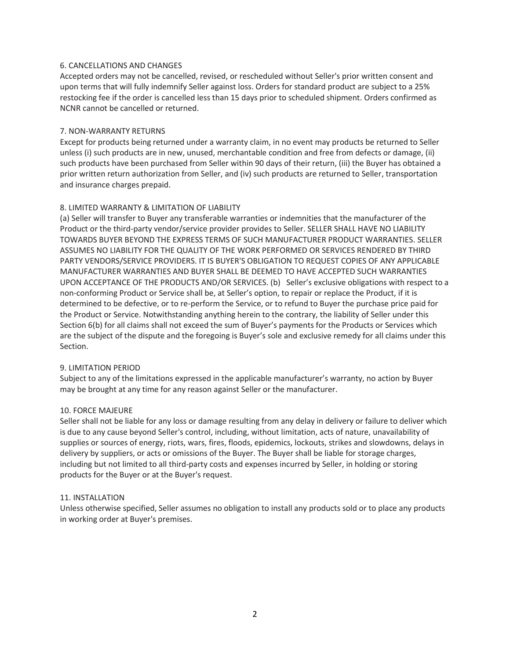### 6. CANCELLATIONS AND CHANGES

Accepted orders may not be cancelled, revised, or rescheduled without Seller's prior written consent and upon terms that will fully indemnify Seller against loss. Orders for standard product are subject to a 25% restocking fee if the order is cancelled less than 15 days prior to scheduled shipment. Orders confirmed as NCNR cannot be cancelled or returned.

### 7. NON-WARRANTY RETURNS

Except for products being returned under a warranty claim, in no event may products be returned to Seller unless (i) such products are in new, unused, merchantable condition and free from defects or damage, (ii) such products have been purchased from Seller within 90 days of their return, (iii) the Buyer has obtained a prior written return authorization from Seller, and (iv) such products are returned to Seller, transportation and insurance charges prepaid.

# 8. LIMITED WARRANTY & LIMITATION OF LIABILITY

(a) Seller will transfer to Buyer any transferable warranties or indemnities that the manufacturer of the Product or the third-party vendor/service provider provides to Seller. SELLER SHALL HAVE NO LIABILITY TOWARDS BUYER BEYOND THE EXPRESS TERMS OF SUCH MANUFACTURER PRODUCT WARRANTIES. SELLER ASSUMES NO LIABILITY FOR THE QUALITY OF THE WORK PERFORMED OR SERVICES RENDERED BY THIRD PARTY VENDORS/SERVICE PROVIDERS. IT IS BUYER'S OBLIGATION TO REQUEST COPIES OF ANY APPLICABLE MANUFACTURER WARRANTIES AND BUYER SHALL BE DEEMED TO HAVE ACCEPTED SUCH WARRANTIES UPON ACCEPTANCE OF THE PRODUCTS AND/OR SERVICES. (b) Seller's exclusive obligations with respect to a non-conforming Product or Service shall be, at Seller's option, to repair or replace the Product, if it is determined to be defective, or to re-perform the Service, or to refund to Buyer the purchase price paid for the Product or Service. Notwithstanding anything herein to the contrary, the liability of Seller under this Section 6(b) for all claims shall not exceed the sum of Buyer's payments for the Products or Services which are the subject of the dispute and the foregoing is Buyer's sole and exclusive remedy for all claims under this Section.

### 9. LIMITATION PERIOD

Subject to any of the limitations expressed in the applicable manufacturer's warranty, no action by Buyer may be brought at any time for any reason against Seller or the manufacturer.

### 10. FORCE MAJEURE

Seller shall not be liable for any loss or damage resulting from any delay in delivery or failure to deliver which is due to any cause beyond Seller's control, including, without limitation, acts of nature, unavailability of supplies or sources of energy, riots, wars, fires, floods, epidemics, lockouts, strikes and slowdowns, delays in delivery by suppliers, or acts or omissions of the Buyer. The Buyer shall be liable for storage charges, including but not limited to all third-party costs and expenses incurred by Seller, in holding or storing products for the Buyer or at the Buyer's request.

### 11. INSTALLATION

Unless otherwise specified, Seller assumes no obligation to install any products sold or to place any products in working order at Buyer's premises.